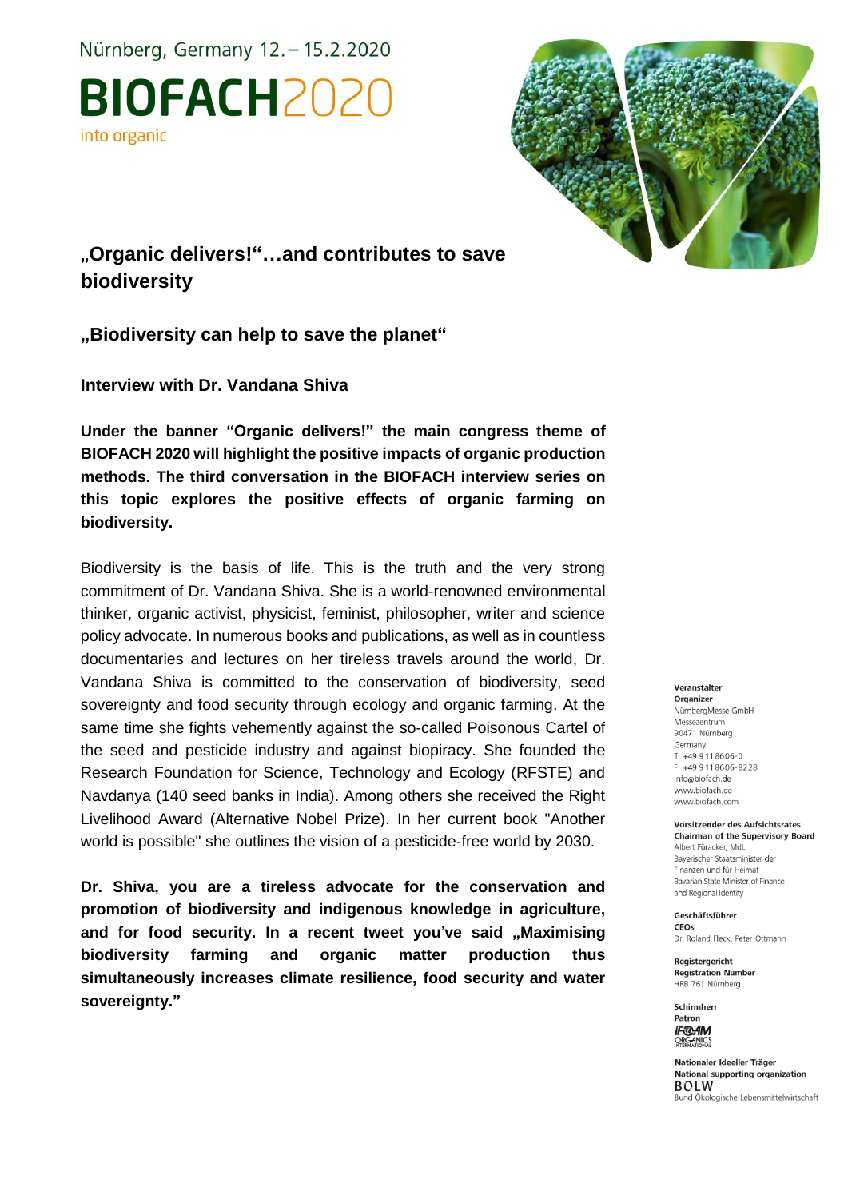Nürnberg, Germany 12. - 15.2.2020

**BIOFACH2020** into organic



**"Organic delivers!"…and contributes to save biodiversity**

**"Biodiversity can help to save the planet"**

**Interview with Dr. Vandana Shiva**

**Under the banner "Organic delivers!" the main congress theme of BIOFACH 2020 will highlight the positive impacts of organic production methods. The third conversation in the BIOFACH interview series on this topic explores the positive effects of organic farming on biodiversity.**

Biodiversity is the basis of life. This is the truth and the very strong commitment of Dr. Vandana Shiva. She is a world-renowned environmental thinker, organic activist, physicist, feminist, philosopher, writer and science policy advocate. In numerous books and publications, as well as in countless documentaries and lectures on her tireless travels around the world, Dr. Vandana Shiva is committed to the conservation of biodiversity, seed sovereignty and food security through ecology and organic farming. At the same time she fights vehemently against the so-called Poisonous Cartel of the seed and pesticide industry and against biopiracy. She founded the Research Foundation for Science, Technology and Ecology (RFSTE) and Navdanya (140 seed banks in India). Among others she received the Right Livelihood Award (Alternative Nobel Prize). In her current book "Another world is possible" she outlines the vision of a pesticide-free world by 2030.

**Dr. Shiva, you are a tireless advocate for the conservation and promotion of biodiversity and indigenous knowledge in agriculture,**  and for food security. In a recent tweet you've said "Maximising **biodiversity farming and organic matter production thus simultaneously increases climate resilience, food security and water sovereignty."**

#### Veranstalter

Organizer NürnbergMesse GmbH Messezentrum 90471 Nürnberg Germany T +49 9 11 86 06-0 F +49 9 11 8 6 0 6 - 8 2 2 8 info@biofach.de www.biofach.de www.biofach.com

Vorsitzender des Aufsichtsrates **Chairman of the Supervisory Board** Albert Füracker, MdL Baverischer Staatsminister de Finanzen und für Heimat Bavarian State Minister of Finance and Regional Identity

Geschäftsführer CEOs Dr. Roland Fleck, Peter Ottmann

Reaisteraericht **Registration Number** HRB 761 Nürnberg



Nationaler Ideeller Träger National supporting organization **BOLW** Bund Ökologische Lebensmittelwirtschaft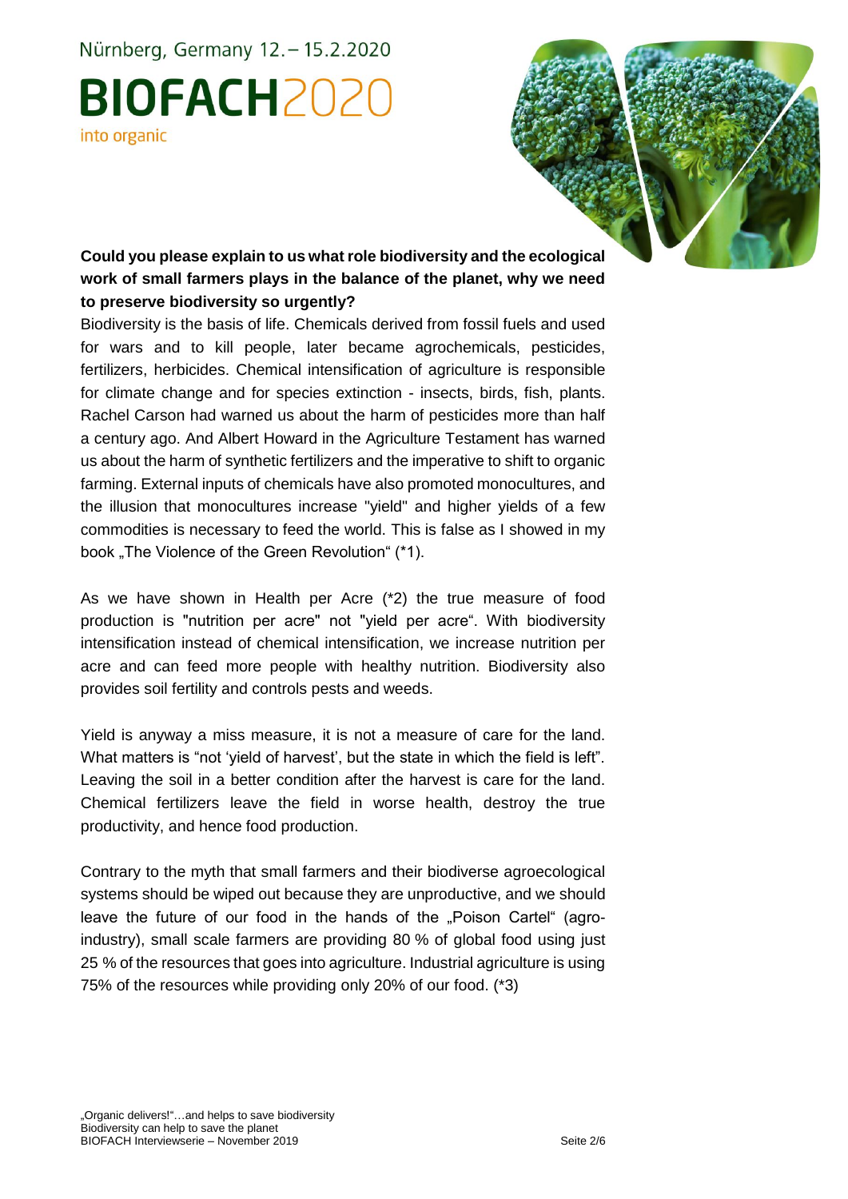Nürnberg, Germany 12. - 15.2.2020 **BIOFACH2020** 

### into organic

**Could you please explain to us what role biodiversity and the ecological work of small farmers plays in the balance of the planet, why we need to preserve biodiversity so urgently?**

Biodiversity is the basis of life. Chemicals derived from fossil fuels and used for wars and to kill people, later became agrochemicals, pesticides, fertilizers, herbicides. Chemical intensification of agriculture is responsible for climate change and for species extinction - insects, birds, fish, plants. Rachel Carson had warned us about the harm of pesticides more than half a century ago. And Albert Howard in the Agriculture Testament has warned us about the harm of synthetic fertilizers and the imperative to shift to organic farming. External inputs of chemicals have also promoted monocultures, and the illusion that monocultures increase "yield" and higher yields of a few commodities is necessary to feed the world. This is false as I showed in my book "The Violence of the Green Revolution" (\*1).

As we have shown in Health per Acre (\*2) the true measure of food production is "nutrition per acre" not "yield per acre". With biodiversity intensification instead of chemical intensification, we increase nutrition per acre and can feed more people with healthy nutrition. Biodiversity also provides soil fertility and controls pests and weeds.

Yield is anyway a miss measure, it is not a measure of care for the land. What matters is "not 'vield of harvest', but the state in which the field is left". Leaving the soil in a better condition after the harvest is care for the land. Chemical fertilizers leave the field in worse health, destroy the true productivity, and hence food production.

Contrary to the myth that small farmers and their biodiverse agroecological systems should be wiped out because they are unproductive, and we should leave the future of our food in the hands of the "Poison Cartel" (agroindustry), small scale farmers are providing 80 % of global food using just 25 % of the resources that goes into agriculture. Industrial agriculture is using 75% of the resources while providing only 20% of our food. (\*3)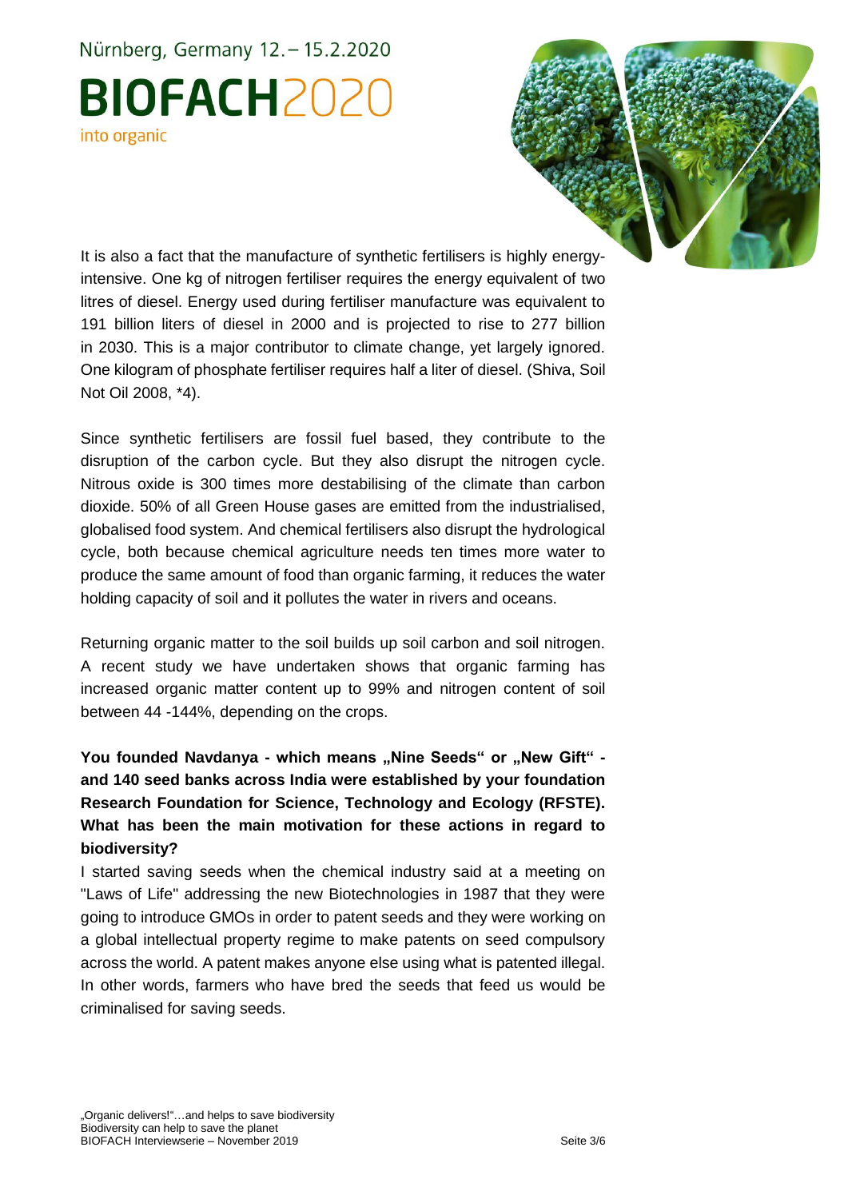# Nürnberg, Germany 12. - 15.2.2020 **BIOFACH2020** into organic



It is also a fact that the manufacture of synthetic fertilisers is highly energyintensive. One kg of nitrogen fertiliser requires the energy equivalent of two litres of diesel. Energy used during fertiliser manufacture was equivalent to 191 billion liters of diesel in 2000 and is projected to rise to 277 billion in 2030. This is a major contributor to climate change, yet largely ignored. One kilogram of phosphate fertiliser requires half a liter of diesel. (Shiva, Soil Not Oil 2008, \*4).

Since synthetic fertilisers are fossil fuel based, they contribute to the disruption of the carbon cycle. But they also disrupt the nitrogen cycle. Nitrous oxide is 300 times more destabilising of the climate than carbon dioxide. 50% of all Green House gases are emitted from the industrialised, globalised food system. And chemical fertilisers also disrupt the hydrological cycle, both because chemical agriculture needs ten times more water to produce the same amount of food than organic farming, it reduces the water holding capacity of soil and it pollutes the water in rivers and oceans.

Returning organic matter to the soil builds up soil carbon and soil nitrogen. A recent study we have undertaken shows that organic farming has increased organic matter content up to 99% and nitrogen content of soil between 44 -144%, depending on the crops.

You founded Navdanya - which means ..Nine Seeds" or ..New Gift" **and 140 seed banks across India were established by your foundation Research Foundation for Science, Technology and Ecology (RFSTE). What has been the main motivation for these actions in regard to biodiversity?**

I started saving seeds when the chemical industry said at a meeting on "Laws of Life" addressing the new Biotechnologies in 1987 that they were going to introduce GMOs in order to patent seeds and they were working on a global intellectual property regime to make patents on seed compulsory across the world. A patent makes anyone else using what is patented illegal. In other words, farmers who have bred the seeds that feed us would be criminalised for saving seeds.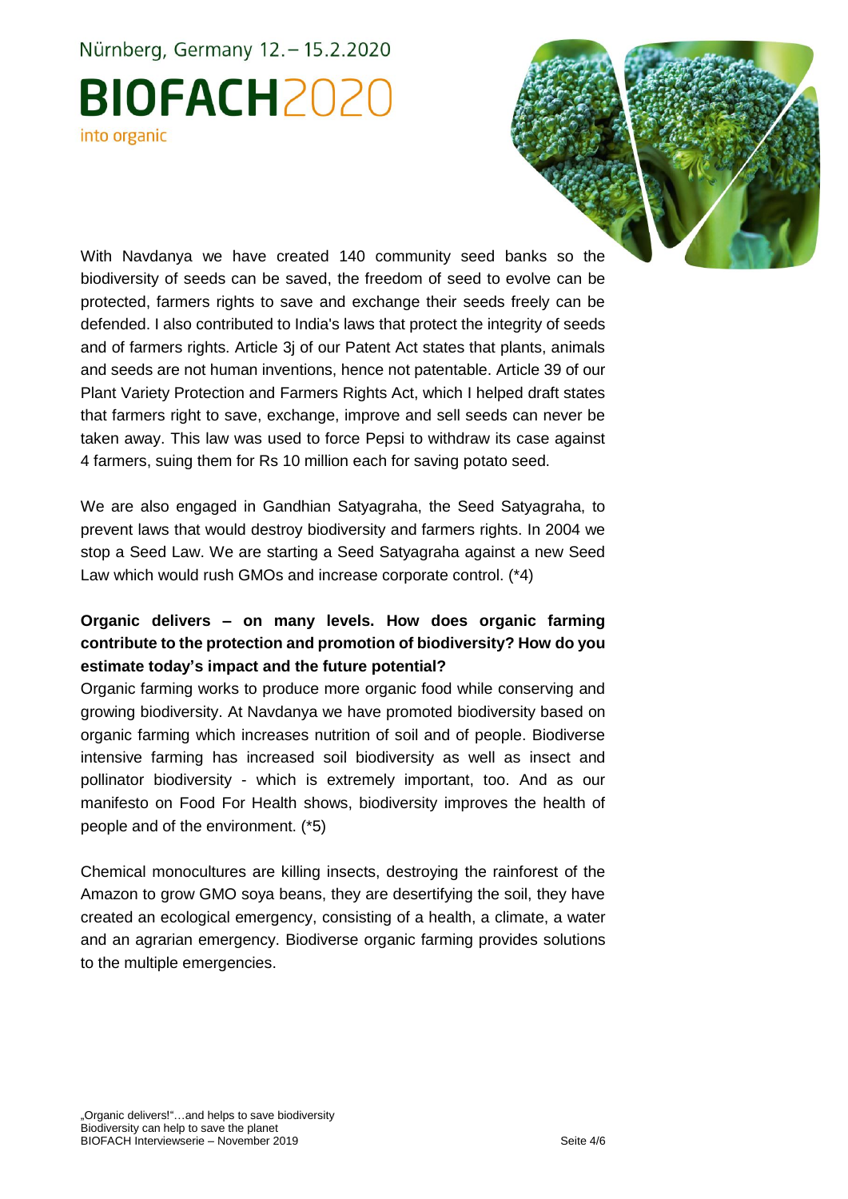# Nürnberg, Germany 12. - 15.2.2020 **BIOFACH2020** into organic



With Navdanya we have created 140 community seed banks so the biodiversity of seeds can be saved, the freedom of seed to evolve can be protected, farmers rights to save and exchange their seeds freely can be defended. I also contributed to India's laws that protect the integrity of seeds and of farmers rights. Article 3j of our Patent Act states that plants, animals and seeds are not human inventions, hence not patentable. Article 39 of our Plant Variety Protection and Farmers Rights Act, which I helped draft states that farmers right to save, exchange, improve and sell seeds can never be taken away. This law was used to force Pepsi to withdraw its case against 4 farmers, suing them for Rs 10 million each for saving potato seed.

We are also engaged in Gandhian Satyagraha, the Seed Satyagraha, to prevent laws that would destroy biodiversity and farmers rights. In 2004 we stop a Seed Law. We are starting a Seed Satyagraha against a new Seed Law which would rush GMOs and increase corporate control. (\*4)

### **Organic delivers – on many levels. How does organic farming contribute to the protection and promotion of biodiversity? How do you estimate today's impact and the future potential?**

Organic farming works to produce more organic food while conserving and growing biodiversity. At Navdanya we have promoted biodiversity based on organic farming which increases nutrition of soil and of people. Biodiverse intensive farming has increased soil biodiversity as well as insect and pollinator biodiversity - which is extremely important, too. And as our manifesto on Food For Health shows, biodiversity improves the health of people and of the environment. (\*5)

Chemical monocultures are killing insects, destroying the rainforest of the Amazon to grow GMO soya beans, they are desertifying the soil, they have created an ecological emergency, consisting of a health, a climate, a water and an agrarian emergency. Biodiverse organic farming provides solutions to the multiple emergencies.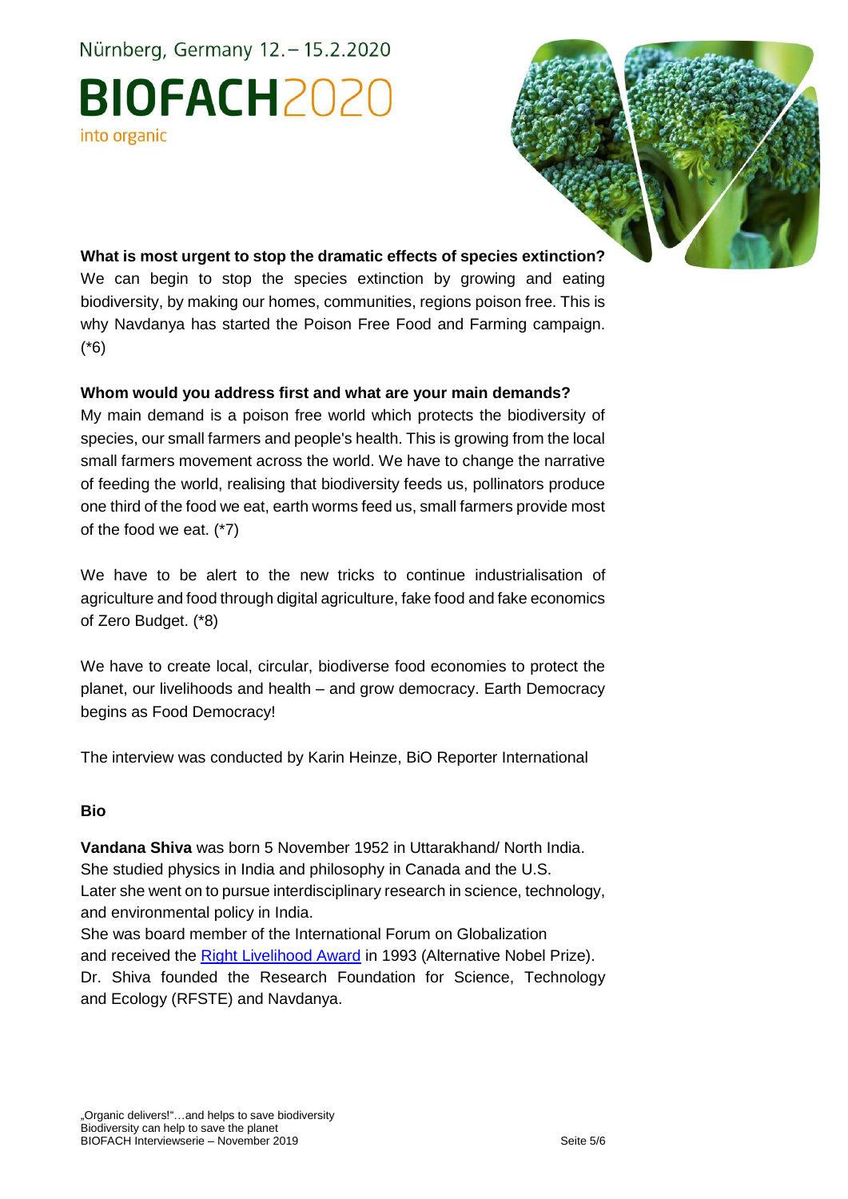Nürnberg, Germany 12. - 15.2.2020 **BIOFACH2020** into organic



**What is most urgent to stop the dramatic effects of species extinction?** We can begin to stop the species extinction by growing and eating biodiversity, by making our homes, communities, regions poison free. This is why Navdanya has started the Poison Free Food and Farming campaign. (\*6)

#### **Whom would you address first and what are your main demands?**

My main demand is a poison free world which protects the biodiversity of species, our small farmers and people's health. This is growing from the local small farmers movement across the world. We have to change the narrative of feeding the world, realising that biodiversity feeds us, pollinators produce one third of the food we eat, earth worms feed us, small farmers provide most of the food we eat. (\*7)

We have to be alert to the new tricks to continue industrialisation of agriculture and food through digital agriculture, fake food and fake economics of Zero Budget. (\*8)

We have to create local, circular, biodiverse food economies to protect the planet, our livelihoods and health – and grow democracy. Earth Democracy begins as Food Democracy!

The interview was conducted by Karin Heinze, BiO Reporter International

#### **Bio**

**Vandana Shiva** was born 5 November 1952 in Uttarakhand/ North India. She studied physics in India and philosophy in Canada and the U.S. Later she went on to pursue interdisciplinary research in science, technology, and environmental policy in India.

She was board member of the International Forum on Globalization and received the [Right Livelihood Award](https://en.wikipedia.org/wiki/Right_Livelihood_Award) in 1993 (Alternative Nobel Prize). Dr. Shiva founded the Research Foundation for Science, Technology and Ecology (RFSTE) and Navdanya.